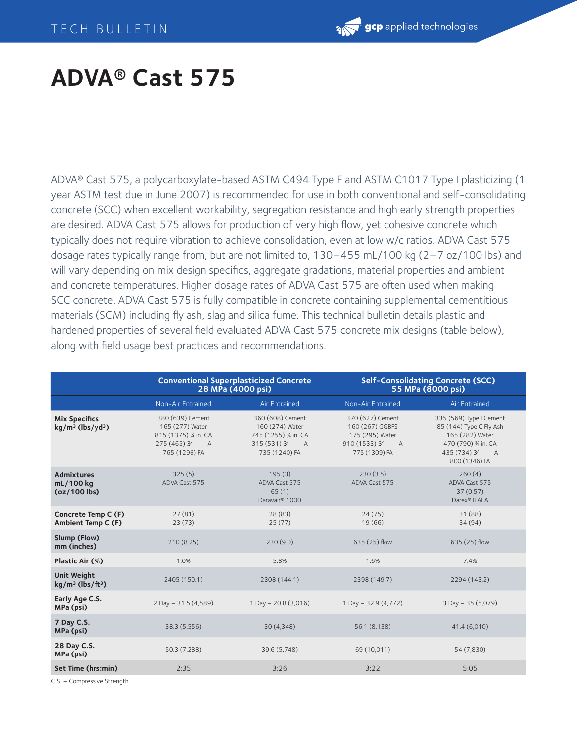## **ADVA® Cast 575**

ADVA® Cast 575, a polycarboxylate-based ASTM C494 Type F and ASTM C1017 Type I plasticizing (1 year ASTM test due in June 2007) is recommended for use in both conventional and self-consolidating concrete (SCC) when excellent workability, segregation resistance and high early strength properties are desired. ADVA Cast 575 allows for production of very high flow, yet cohesive concrete which typically does not require vibration to achieve consolidation, even at low w/c ratios. ADVA Cast 575 dosage rates typically range from, but are not limited to, 130–455 mL/100 kg (2–7 oz/100 lbs) and will vary depending on mix design specifics, aggregate gradations, material properties and ambient and concrete temperatures. Higher dosage rates of ADVA Cast 575 are often used when making SCC concrete. ADVA Cast 575 is fully compatible in concrete containing supplemental cementitious materials (SCM) including fly ash, slag and silica fume. This technical bulletin details plastic and hardened properties of several field evaluated ADVA Cast 575 concrete mix designs (table below), along with field usage best practices and recommendations.

|                                                        | <b>Conventional Superplasticized Concrete</b><br>28 MPa (4000 psi)                              |                                                                                               | <b>Self-Consolidating Concrete (SCC)</b><br>55 MPa (8000 psi)                                |                                                                                                                                  |
|--------------------------------------------------------|-------------------------------------------------------------------------------------------------|-----------------------------------------------------------------------------------------------|----------------------------------------------------------------------------------------------|----------------------------------------------------------------------------------------------------------------------------------|
|                                                        | Non-Air Entrained                                                                               | Air Entrained                                                                                 | Non-Air Entrained                                                                            | Air Entrained                                                                                                                    |
| <b>Mix Specifics</b><br>$kg/m3$ (lbs/yd <sup>3</sup> ) | 380 (639) Cement<br>165 (277) Water<br>815 (1375) % in. CA<br>275 (465) 3<br>A<br>765 (1296) FA | 360 (608) Cement<br>160 (274) Water<br>745 (1255) % in. CA<br>$315(531)$ 3 A<br>735 (1240) FA | 370 (627) Cement<br>160 (267) GGBFS<br>175 (295) Water<br>910 (1533) 3<br>A<br>775 (1309) FA | 335 (569) Type I Cement<br>85 (144) Type C Fly Ash<br>165 (282) Water<br>470 (790) 3/4 in. CA<br>435 (734) 3/ A<br>800 (1346) FA |
| Admixtures<br>mL/100 kg<br>$(oz/100$ lbs)              | 325(5)<br>ADVA Cast 575                                                                         | 195(3)<br>ADVA Cast 575<br>65(1)<br>Daravair® 1000                                            | 230(3.5)<br>ADVA Cast 575                                                                    | 260(4)<br>ADVA Cast 575<br>37(0.57)<br>Darex® II AEA                                                                             |
| Concrete Temp C (F)<br><b>Ambient Temp C (F)</b>       | 27(81)<br>23(73)                                                                                | 28 (83)<br>25(77)                                                                             | 24(75)<br>19 (66)                                                                            | 31 (88)<br>34(94)                                                                                                                |
| Slump (Flow)<br>mm (inches)                            | 210(8.25)                                                                                       | 230(9.0)                                                                                      | 635 (25) flow                                                                                | 635 (25) flow                                                                                                                    |
| Plastic Air (%)                                        | 1.0%                                                                                            | 5.8%                                                                                          | 1.6%                                                                                         | 7.4%                                                                                                                             |
| <b>Unit Weight</b><br>$kg/m3$ (lbs/ft <sup>3</sup> )   | 2405 (150.1)                                                                                    | 2308 (144.1)                                                                                  | 2398 (149.7)                                                                                 | 2294 (143.2)                                                                                                                     |
| Early Age C.S.<br>MPa (psi)                            | 2 Day - 31.5 (4,589)                                                                            | 1 Day $- 20.8$ (3,016)                                                                        | 1 Day - 32.9 (4,772)                                                                         | 3 Day - 35 (5,079)                                                                                                               |
| 7 Day C.S.<br>MPa (psi)                                | 38.3 (5,556)                                                                                    | 30(4,348)                                                                                     | 56.1 (8,138)                                                                                 | 41.4 (6,010)                                                                                                                     |
| 28 Day C.S.<br>MPa (psi)                               | 50.3 (7,288)                                                                                    | 39.6 (5,748)                                                                                  | 69 (10,011)                                                                                  | 54 (7,830)                                                                                                                       |
| Set Time (hrs:min)                                     | 2:35                                                                                            | 3:26                                                                                          | 3:22                                                                                         | 5:05                                                                                                                             |

C.S. – Compressive Strength